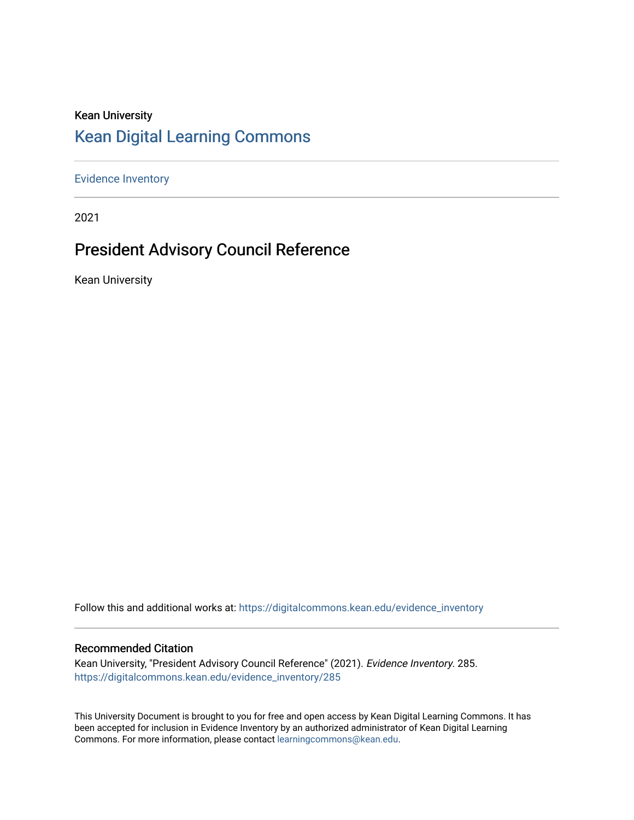### Kean University [Kean Digital Learning Commons](https://digitalcommons.kean.edu/)

[Evidence Inventory](https://digitalcommons.kean.edu/evidence_inventory) 

2021

### President Advisory Council Reference

Kean University

Follow this and additional works at: [https://digitalcommons.kean.edu/evidence\\_inventory](https://digitalcommons.kean.edu/evidence_inventory?utm_source=digitalcommons.kean.edu%2Fevidence_inventory%2F285&utm_medium=PDF&utm_campaign=PDFCoverPages)

### Recommended Citation

Kean University, "President Advisory Council Reference" (2021). Evidence Inventory. 285. [https://digitalcommons.kean.edu/evidence\\_inventory/285](https://digitalcommons.kean.edu/evidence_inventory/285?utm_source=digitalcommons.kean.edu%2Fevidence_inventory%2F285&utm_medium=PDF&utm_campaign=PDFCoverPages)

This University Document is brought to you for free and open access by Kean Digital Learning Commons. It has been accepted for inclusion in Evidence Inventory by an authorized administrator of Kean Digital Learning Commons. For more information, please contact [learningcommons@kean.edu.](mailto:learningcommons@kean.edu)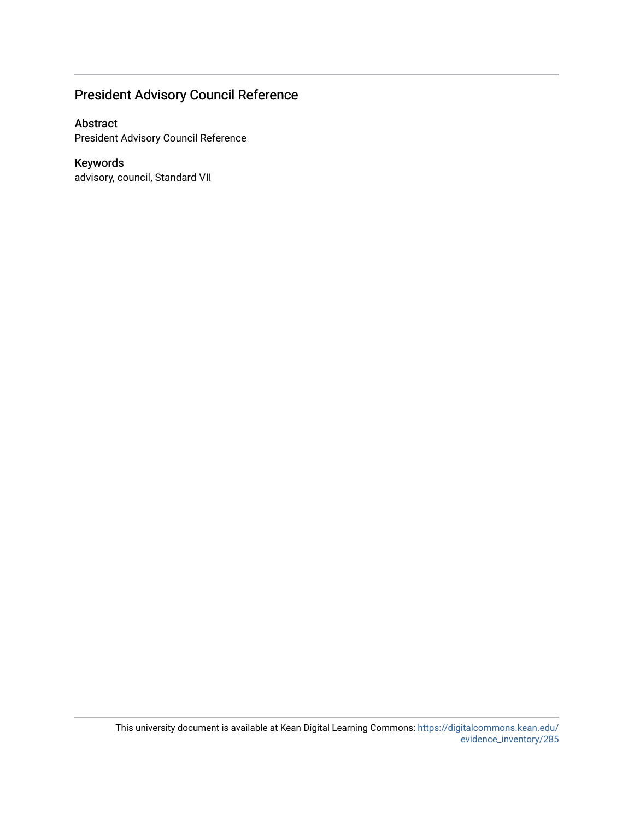### President Advisory Council Reference

### Abstract

President Advisory Council Reference

### Keywords

advisory, council, Standard VII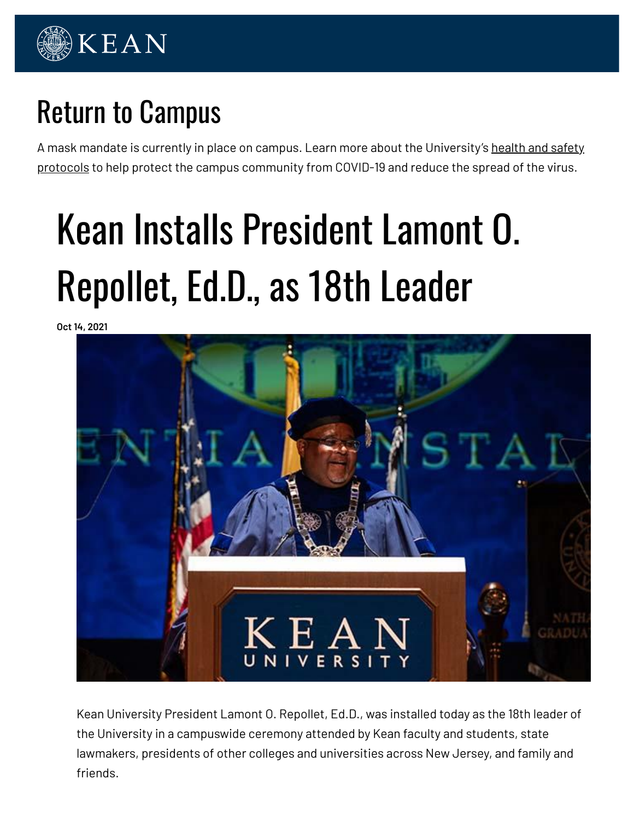

# Return to Campus

A mask mandate is currently in place on campus. Learn more about the University's health and safety protocols to help protect the campus community from COVID-19 and reduce the spread of the virus.

# Kean Installs President Lamont O. Repollet, Ed.D., as 18th Leader

**Oct 14, 2021**



Kean University President Lamont O. Repollet, Ed.D., was installed today as the 18th leader of the University in a campuswide ceremony attended by Kean faculty and students, state lawmakers, presidents of other colleges and universities across New Jersey, and family and friends.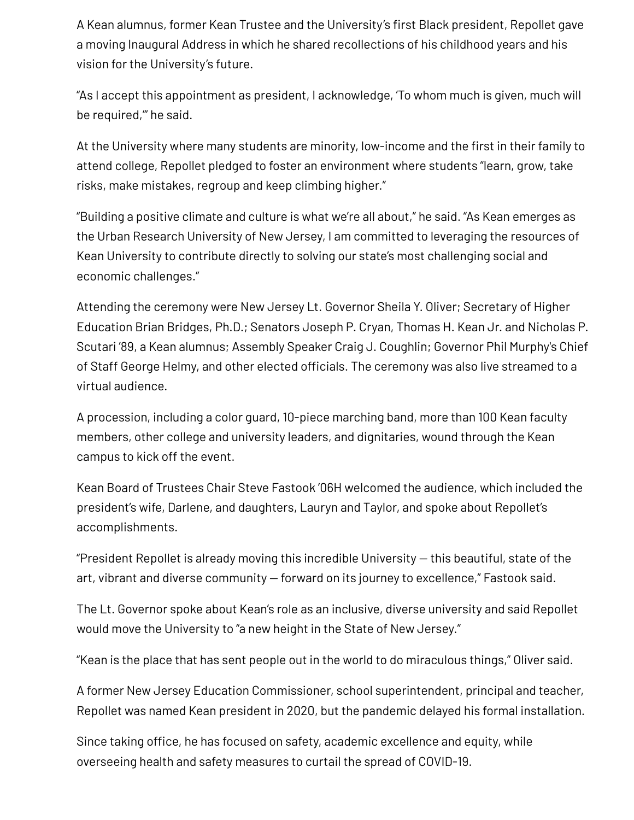A Kean alumnus, former Kean Trustee and the University's first Black president, Repollet gave a moving Inaugural Address in which he shared recollections of his childhood years and his vision for the University's future.

"As I accept this appointment as president, I acknowledge, 'To whom much is given, much will be required,'" he said.

At the University where many students are minority, low-income and the first in their family to attend college, Repollet pledged to foster an environment where students "learn, grow, take risks, make mistakes, regroup and keep climbing higher."

"Building a positive climate and culture is what we're all about," he said. "As Kean emerges as the Urban Research University of New Jersey, I am committed to leveraging the resources of Kean University to contribute directly to solving our state's most challenging social and economic challenges."

Attending the ceremony were New Jersey Lt. Governor Sheila Y. Oliver; Secretary of Higher Education Brian Bridges, Ph.D.; Senators Joseph P. Cryan, Thomas H. Kean Jr. and Nicholas P. Scutari '89, a Kean alumnus; Assembly Speaker Craig J. Coughlin; Governor Phil Murphy's Chief of Staff George Helmy, and other elected officials. The ceremony was also live streamed to a virtual audience.

A procession, including a color guard, 10-piece marching band, more than 100 Kean faculty members, other college and university leaders, and dignitaries, wound through the Kean campus to kick off the event.

Kean Board of Trustees Chair Steve Fastook '06H welcomed the audience, which included the president's wife, Darlene, and daughters, Lauryn and Taylor, and spoke about Repollet's accomplishments.

"President Repollet is already moving this incredible University — this beautiful, state of the art, vibrant and diverse community — forward on its journey to excellence," Fastook said.

The Lt. Governor spoke about Kean's role as an inclusive, diverse university and said Repollet would move the University to "a new height in the State of New Jersey."

"Kean is the place that has sent people out in the world to do miraculous things," Oliver said.

A former New Jersey Education Commissioner, school superintendent, principal and teacher, Repollet was named Kean president in 2020, but the pandemic delayed his formal installation.

Since taking office, he has focused on safety, academic excellence and equity, while overseeing health and safety measures to curtail the spread of COVID-19.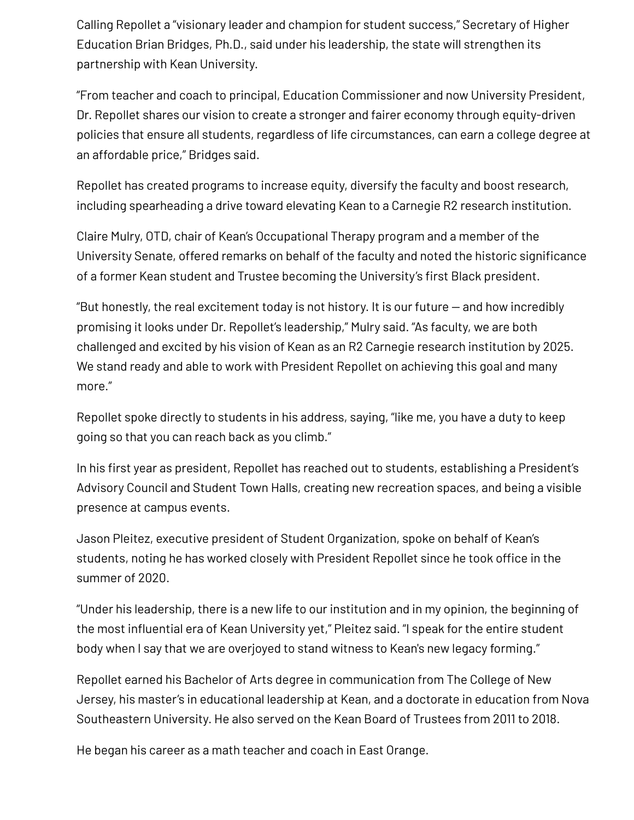Calling Repollet a "visionary leader and champion for student success," Secretary of Higher Education Brian Bridges, Ph.D., said under his leadership, the state will strengthen its partnership with Kean University.

"From teacher and coach to principal, Education Commissioner and now University President, Dr. Repollet shares our vision to create a stronger and fairer economy through equity-driven policies that ensure all students, regardless of life circumstances, can earn a college degree at an affordable price," Bridges said.

Repollet has created programs to increase equity, diversify the faculty and boost research, including spearheading a drive toward elevating Kean to a Carnegie R2 research institution.

Claire Mulry, OTD, chair of Kean's Occupational Therapy program and a member of the University Senate, offered remarks on behalf of the faculty and noted the historic significance of a former Kean student and Trustee becoming the University's first Black president.

"But honestly, the real excitement today is not history. It is our future — and how incredibly promising it looks under Dr. Repollet's leadership," Mulry said. "As faculty, we are both challenged and excited by his vision of Kean as an R2 Carnegie research institution by 2025. We stand ready and able to work with President Repollet on achieving this goal and many more."

Repollet spoke directly to students in his address, saying, "like me, you have a duty to keep going so that you can reach back as you climb."

In his first year as president, Repollet has reached out to students, establishing a President's Advisory Council and Student Town Halls, creating new recreation spaces, and being a visible presence at campus events.

Jason Pleitez, executive president of Student Organization, spoke on behalf of Kean's students, noting he has worked closely with President Repollet since he took office in the summer of 2020.

"Under his leadership, there is a new life to our institution and in my opinion, the beginning of the most influential era of Kean University yet," Pleitez said. "I speak for the entire student body when I say that we are overjoyed to stand witness to Kean's new legacy forming."

Repollet earned his Bachelor of Arts degree in communication from The College of New Jersey, his master's in educational leadership at Kean, and a doctorate in education from Nova Southeastern University. He also served on the Kean Board of Trustees from 2011 to 2018.

He began his career as a math teacher and coach in East Orange.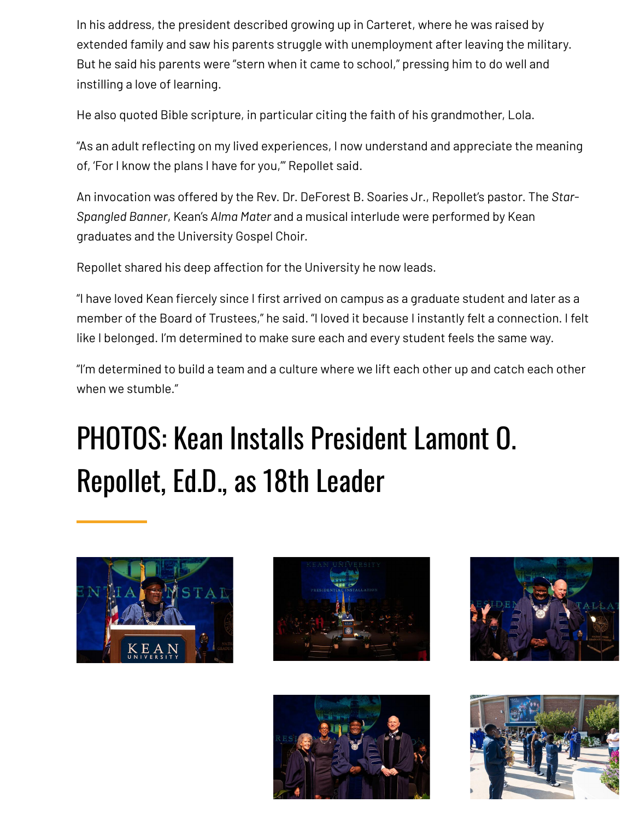In his address, the president described growing up in Carteret, where he was raised by extended family and saw his parents struggle with unemployment after leaving the military. But he said his parents were "stern when it came to school," pressing him to do well and instilling a love of learning.

He also quoted Bible scripture, in particular citing the faith of his grandmother, Lola.

"As an adult reflecting on my lived experiences, I now understand and appreciate the meaning of, 'For I know the plans I have for you,'" Repollet said.

An invocation was offered by the Rev. Dr. DeForest B. Soaries Jr., Repollet's pastor. The *Star-Spangled Banner*, Kean's *Alma Mater* and a musical interlude were performed by Kean graduates and the University Gospel Choir.

Repollet shared his deep affection for the University he now leads.

"I have loved Kean fiercely since I first arrived on campus as a graduate student and later as a member of the Board of Trustees," he said. "I loved it because I instantly felt a connection. I felt like I belonged. I'm determined to make sure each and every student feels the same way.

"I'm determined to build a team and a culture where we lift each other up and catch each other when we stumble."

# PHOTOS: Kean Installs President Lamont O. Repollet, Ed.D., as 18th Leader